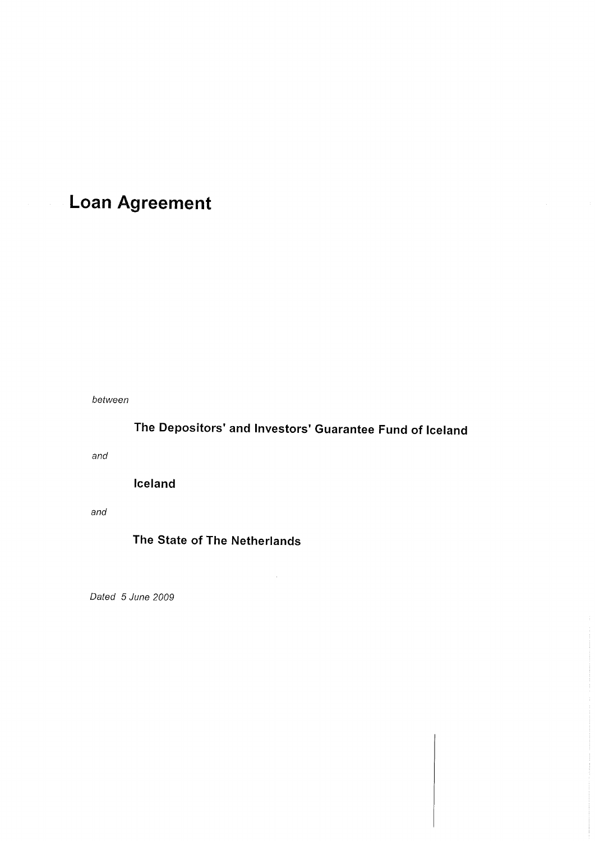# **Loan Agreement**

between

# The Depositors' and lnvestors' Guarantee Fund of lceland

 $\mathcal{A}^{\mathcal{A}}$ 

and

lceland

and

# The State of The Netherlands

Dated 5 June 2009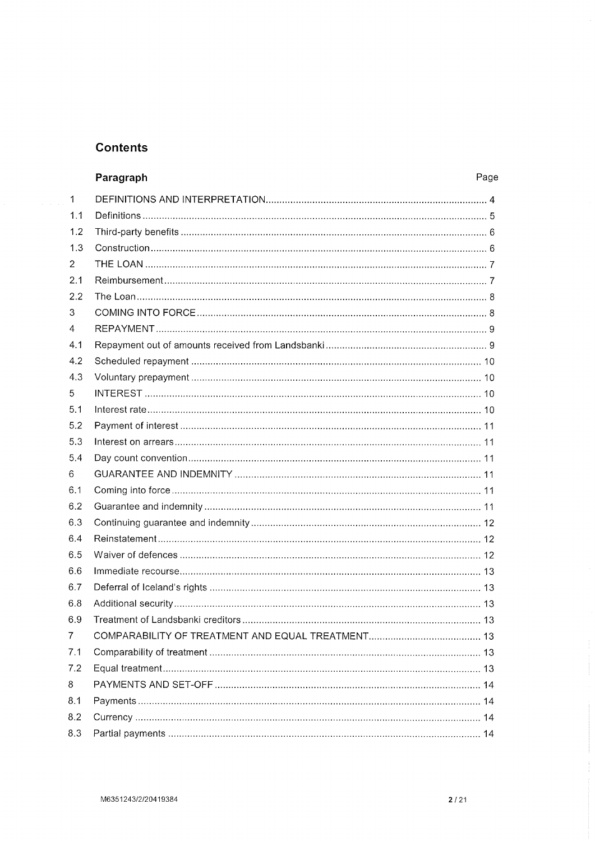# **Contents**

|              | Paragraph | Page |
|--------------|-----------|------|
| $\mathbf{1}$ |           |      |
| 1.1          |           |      |
| 1.2          |           |      |
| 1.3          |           |      |
| 2            |           |      |
| 2.1          |           |      |
| 2.2          |           |      |
| 3            |           |      |
| 4            |           |      |
| 4.1          |           |      |
| 4.2          |           |      |
| 4.3          |           |      |
| 5            |           |      |
| 5.1          |           |      |
| 5.2          |           |      |
| 5.3          |           |      |
| 5.4          |           |      |
| 6            |           |      |
| 6.1          |           |      |
| 6.2          |           |      |
| 6.3          |           |      |
| 6.4          |           |      |
| 6.5          |           |      |
| 6.6          |           |      |
| 6.7          |           |      |
| 6.8          |           |      |
| 6.9          |           | 13   |
| 7            |           |      |
| 7.1          |           |      |
| 7.2          |           |      |
| 8            |           |      |
| 8.1          |           |      |
| 8.2          |           |      |
| 8.3          |           |      |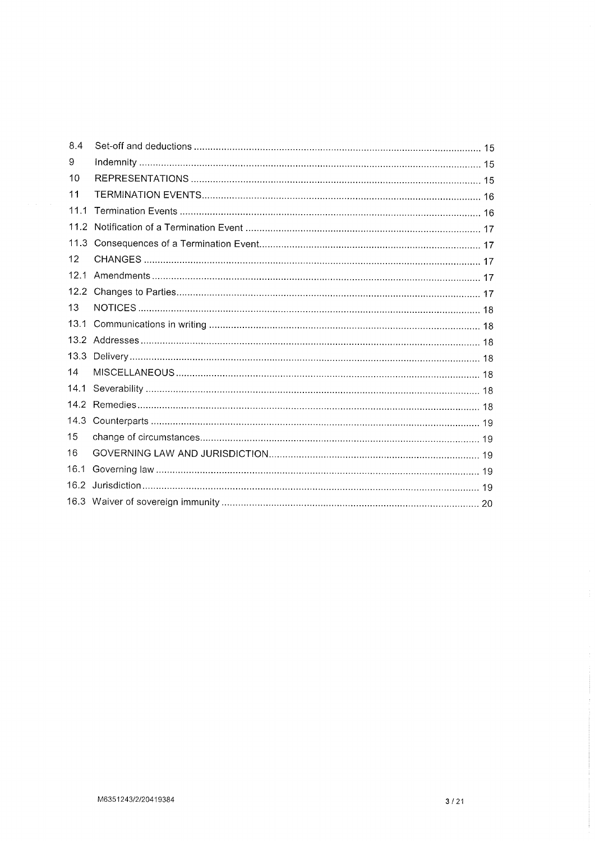| 8.4  |  |
|------|--|
| 9    |  |
| 10   |  |
| 11   |  |
| 11.1 |  |
| 11.2 |  |
| 11.3 |  |
| 12   |  |
| 12.1 |  |
| 12.2 |  |
| 13   |  |
| 13.1 |  |
|      |  |
| 13.3 |  |
| 14   |  |
| 14.1 |  |
|      |  |
| 14.3 |  |
| 15   |  |
| 16   |  |
| 16.1 |  |
| 16.2 |  |
|      |  |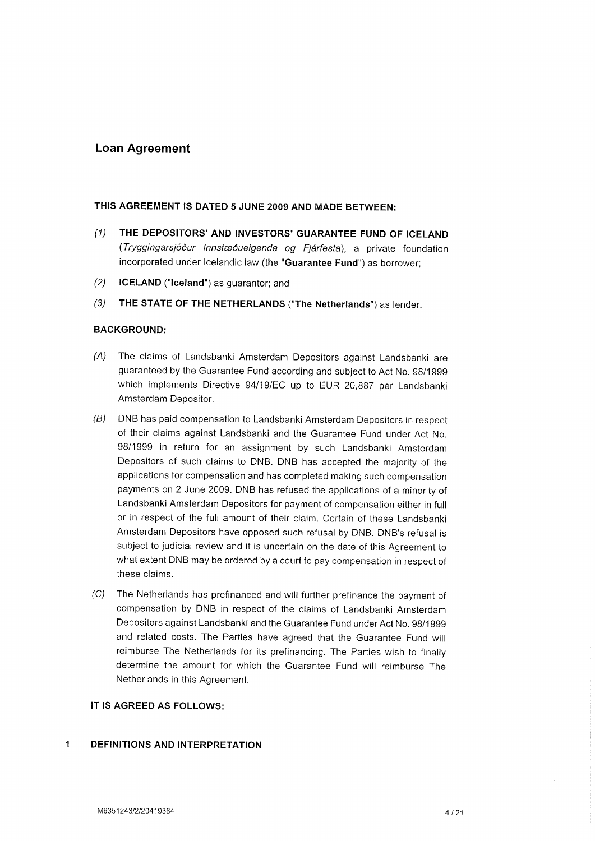# Loan Agreement

### THIS AGREEMENT IS DATED 5 JUNE 2OO9 AND MADE BETWEEN:

- (1) THE DEPOSITORS'AND INVESTORS'GUARANTEE FUND OF ICELAND (Tryggingarsjóður lnnstæðueigenda og Fjárfesta), a private foundation incorporated under lcelandic law (the "Guarantee Fund") as borrower;
- (2) **ICELAND** ("Iceland") as guarantor; and
- $(3)$ THE STATE OF THE NETHERLANDS ("The Netherlands") as lender.

#### BAGKGROUND:

- $(A)$ The claims of Landsbanki Amsterdam Depositors against Landsbanki are guaranteed by the Guarantee Fund according and subject to Act No. g8/1ggg which implements Directive 94/19/EC up to EUR 20,887 per Landsbanki Amsterdam Depositor.
- DNB has paid compensation to Landsbanki Amsterdam Depositors in respect of their claims against Landsbanki and the Guarantee Fund under Act No. 98/1999 in return for an assignment by such Landsbanki Amsterdam Depositors of such claims to DNB. DNB has accepted the majority of the applications for compensation and has completed making such compensation payments on 2 June 2009. DNB has refused the applications of a minority of Landsbanki Amsterdam Depositors for payment of compensation either in full or in respect of the full amount of their claim. Certain of these Landsbanki Amsterdam Depositors have opposed such refusal by DNB. DNB's refusal is subject to judicial review and it is uncertain on the date of this Agreement to what extent DNB may be ordered by a court to pay compensation in respect of these claims. (B)
- The Netherlands has prefinanced and will further prefinance the payment of compensation by DNB in respect of the claims of Landsbanki Amsterdam Depositors against Landsbanki and the Guarantee Fund under Act No. g8/19gg and related costs. The Parties have agreed that the Guarantee Fund will reimburse The Netherlands for its prefinancing. The Parties wish to finally determine the amount for which the Guarantee Fund will reimburse The Netherlands in this Agreement.  $(C)$

## IT IS AGREED AS FOLLOWS:

#### 1 DEFINITIONS AND INTERPRETATION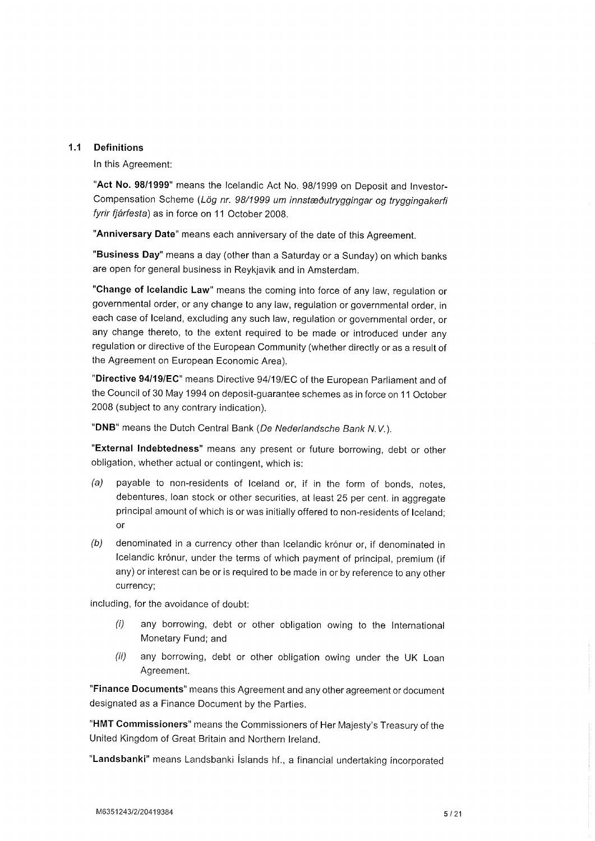### 1.1 Definitions

ln this Agreement:

"Act No. 98/1999" means the lcelandic Act No. 98/1999 on Deposit and Investor-Compensation Scheme (Lög nr. 98/1999 um innstæðutryggingar og tryggingakerfi fyrir fjárfesta) as in force on 11 October 2008.

"Anniversary Date" means each anniversary of the date of this Agreement.

"Business Day" means a day (other than a Saturday or a Sunday) on which banks are open for general business in Reykjavik and in Amsterdam.

"Ghange of lcelandic Law" means the coming into force of any law, regulation or governmental order, or any change to any law, regulation or governmental order, in each case of lceland, excluding any such law, regulation or governmental order, or any change thereto, to the extent required to be made or introduced under any regulation or directive of the European Community (whether directly or as a result of the Agreement on European Economic Area).

"Directive 94/19/EC" means Directive 94/19/EC of the European Parliament and of the Council of 30 May 1994 on deposit-guarantee schemes as in force on 11 October 2008 (subject to any contrary indication).

"DNB" means the Dutch Central Bank (De Nederlandsche Bank N.V.).

"External Indebtedness" means any present or future borrowing, debt or other obligation, whether actual or contingent, which is:

- (a) payable to non-residents of lceland or, if in the form of bonds, notes, debentures, loan stock or other securities, at least 25 per cent. in aggregate principal amount of which is or was initially offered to non-residents of lceland; or
- (b) denominated in a currency other than lcelandic krónur or, if denominated in lcelandic krónur, under the terms of which payment of principal, premium (if any) or interest can be or is required to be made in or by reference to any other currency;

including, for the avoidance of doubt:

- $(i)$  any borrowing, debt or other obligation owing to the International Monetary Fund; and
- (ii) any borrowing, debt or other obligation owing under the UK Loan Agreement.

"Finance Documents" means this Agreement and any other agreement or document designated as a Finance Document by the Parties.

"HMT commissioners" means the commissioners of Her Majesty's Treasury of the United Kingdom of Great Britain and Northern lreland.

"Landsbanki" means Landsbanki Íslands hf., a financial undertaking incorporated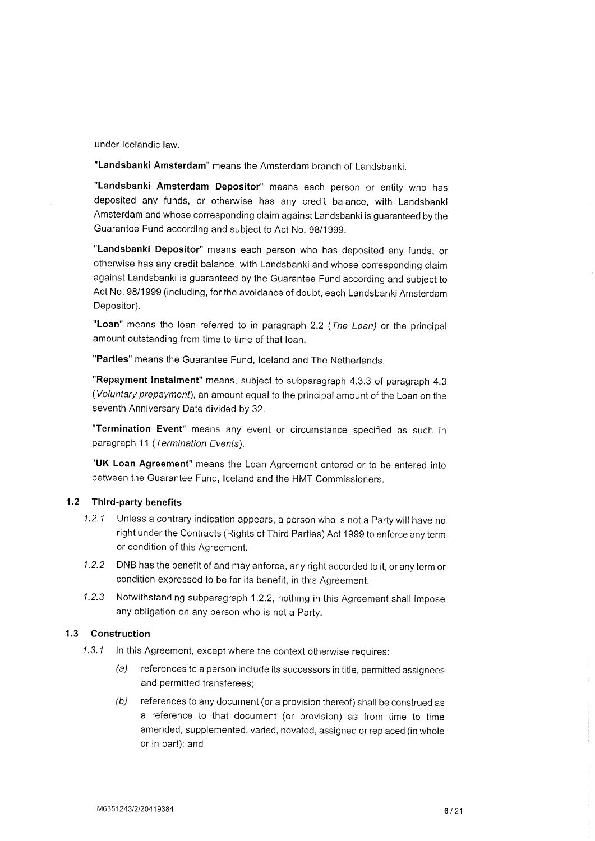under lcelandic law.

"Landsbanki Amsterdam" means the Amsterdam branch of Landsbanki.

"Landsbanki Amsterdam Depositor" means each person or entity who has deposited any funds, or otherwise has any credit balance, with Landsbanki Amsterdam and whose corresponding claim against Landsbanki is guaranteed by the Guarantee Fund according and subject to Act No. g8/1ggg.

"Landsbanki Depositor" means each person who has deposited any funds, or otherwise has any credit balance, with Landsbanki and whose corresponding claim against Landsbanki is guaranteed by the Guarantee Fund according and subject to Act No. 98/1999 (including, for the avoidance of doubt, each Landsbanki Amsterdam Depositor).

"Loan" means the loan referred to in paragraph 2.2 (The Loan) or the principal amount outstanding from time to time of that loan.

"Parties" means the Guarantee Fund, lceland and The Netherlands.

"Repayment Instalment" means, subject to subparagraph 4.3.3 of paragraph 4.3 (Voluntary prepayment), an amount equal to the principal amount of the Loan on the seventh Anniversary Date divided by 32.

"Termination Event" means any event or circumstance specified as such in paragraph 11 (Termination Events).

"UK Loan Agreement" means the Loan Agreement entered or to be entered into between the Guarantee Fund, lceland and the HMT Commissioners.

#### 1.2 Third-party benefits

- 1.2.1 Unless a contrary indication appears, a person who is not a Party will have no right under the Contracts (Rights of Third Parties) Act 1999 to enforce any term or condition of this Agreement.
- <sup>1</sup>.2.2 DNB has the benefit of and may enforce, any right accorded to it, or any term or condition expressed to be for its benefit, in this Agreement.
- 1.2.3 Notwithstanding subparagraph 1.2.2, nothing in this Agreement shall impose any obligation on any person who is not a Party.

### 1.3 Gonstruction

- 1.3.1 In this Agreement, except where the context otherwise requires:
	- (a) references to a person include its successors in title, permitted assignees and permitted transferees;
	- $(b)$  references to any document (or a provision thereof) shall be construed as a reference to that document (or provision) as from time to time amended, supplemented, varied, novated, assigned or replaced (in whole or in part); and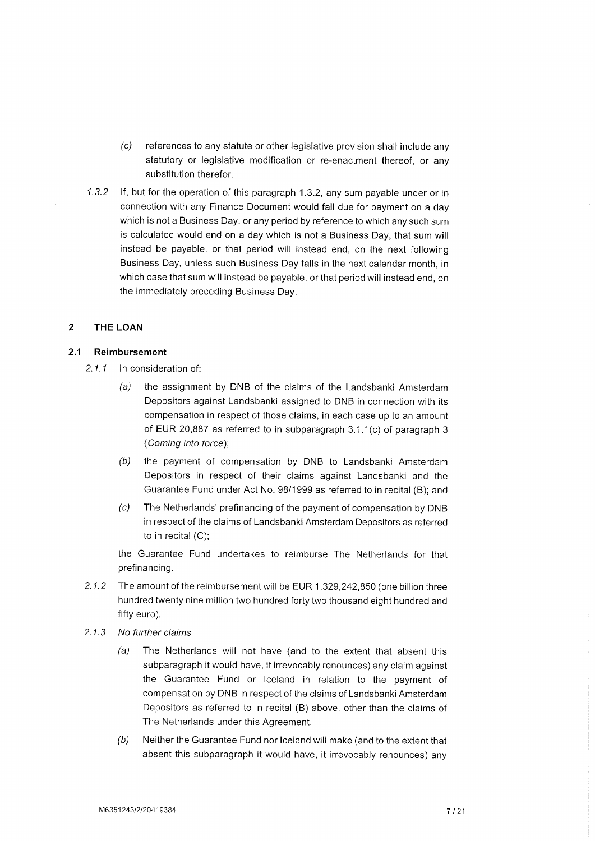- (c) references to any statute or other legislative provision shall include any statutory or legislative modification or re-enactment thereof, or any substitution therefor.
- 1.3.2 lf, but for the operation of this paragraph 1.3.2, any sum payable under or in connection with any Finance Document would fall due for payment on a day which is not a Business Day, or any period by reference to which any such sum is calculated would end on a day which is not a Business Day, that sum will instead be payable, or that period will instead end, on the next following Business Day, unless such Business Day falls in the next calendar month, in which case that sum will instead be payable, or that period will instead end, on the immediately preceding Business Day.

#### $\overline{2}$ THE LOAN

#### $2.1$ Reimbursement

- 2.1.1 In consideration of
	- (a) the assignment by DNB of the claims of the Landsbanki Amsterdam Depositors against Landsbanki assigned to DNB in connection with its compensation in respect of those claims, in each case up to an amount of EUR 20,887 as referred to in subparagraph 3.1.1(c) of paragraph 3 (Coming into force);
	- (b) the payment of compensation by DNB to Landsbanki Amsterdam Depositors in respect of their claims against Landsbanki and the Guarantee Fund under Act No. 98/1999 as referred to in recital (B); and
	- (c) The Netherlands' prefinancing of the payment of compensation by DNB in respect of the claims of Landsbanki Amsterdam Depositors as referred to in recital (C);

the Guarantee Fund undertakes to reimburse The Netherlands for that prefinancing.

- 2.1.2 The amount of the reimbursement will be EUR 1,329,242,850 (one billion three hundred twenty nine million two hundred forty two thousand eight hundred and fifty euro).
- 2.1.3 No further claims
	- (a) The Netherlands will not have (and to the extent that absent this subparagraph it would have, it irrevocably renounces) any claim against the Guarantee Fund or lceland in relation to the payment of compensation by DNB in respect of the claims of Landsbanki Amsterdam Depositors as referred to in recital (B) above, other than the claims of The Netherlands under this Agreement.
	- (b) Neither the Guarantee Fund nor lceland will make (and to the extent that absent this subparagraph it would have, it irrevocably renounces) any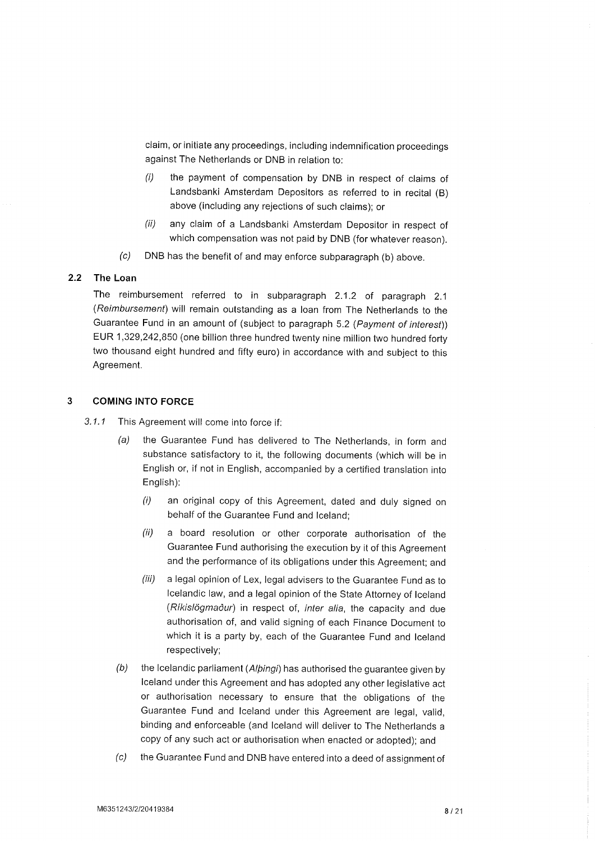claim, or initiate any proceedings, including indemnification proceedings against The Netherlands or DNB in relation to:

- (i) the payment of compensation by DNB in respect of claims of Landsbanki Amsterdam Depositors as referred to in recital (B) above (including any rejections of such claims); or
- (ii) any claim of a Landsbanki Amsterdam Depositor in respect of which compensation was not paid by DNB (for whatever reason).
- (c) DNB has the benefit of and may enforce subparagraph (b) above.

#### 2.2 The Loan

The reimbursement referred to in subparagraph 2.1.2 of paragraph 2.1 (Reimbursemenf) will remain outstanding as a loan from The Netherlands to the Guarantee Fund in an amount of (subject to paragraph 5.2 (Payment of interest)) EUR 1,329,242,850 (one billion three hundred twenty nine million two hundred forty two thousand eight hundred and fifty euro) in accordance with and subject to this Agreement.

#### $\overline{3}$ COMING INTO FORGE

- 3.1.1 This Agreement will come into force if:
	- (a) the Guarantee Fund has delivered to The Netherlands, in form and substance satisfactory to it, the following documents (which will be in English or, if not in English, accompanied by a certified translation into English):
		- (i) an original copy of this Agreement, dated and duly signed on behalf of the Guarantee Fund and lceland;
		- (ii) a board resolution or other corporate authorisation of the Guarantee Fund authorising the execution by it of this Agreement and the performance of its obligations under this Agreement; and
		- (iii) a legal opinion of Lex, legal advisers to the Guarantee Fund as to lcelandic law, and a legal opinion of the State Attorney of lceland (Ríkislögmaður) in respect of, inter alia, the capacity and due authorisation of, and valid signing of each Finance Document to which it is a party by, each of the Guarantee Fund and lceland respectively;
	- $(b)$  the Icelandic parliament (Al $\beta$ ingi) has authorised the guarantee given by lceland under this Agreement and has adopted any other legislative act or authorisation necessary to ensure that the obligations of the Guarantee Fund and lceland under this Agreement are legal, valid, binding and enforceable (and lceland will deliver to The Netherlands a copy of any such act or authorisation when enacted or adopted); and
	- (c) the Guarantee Fund and DNB have entered into a deed of assignment of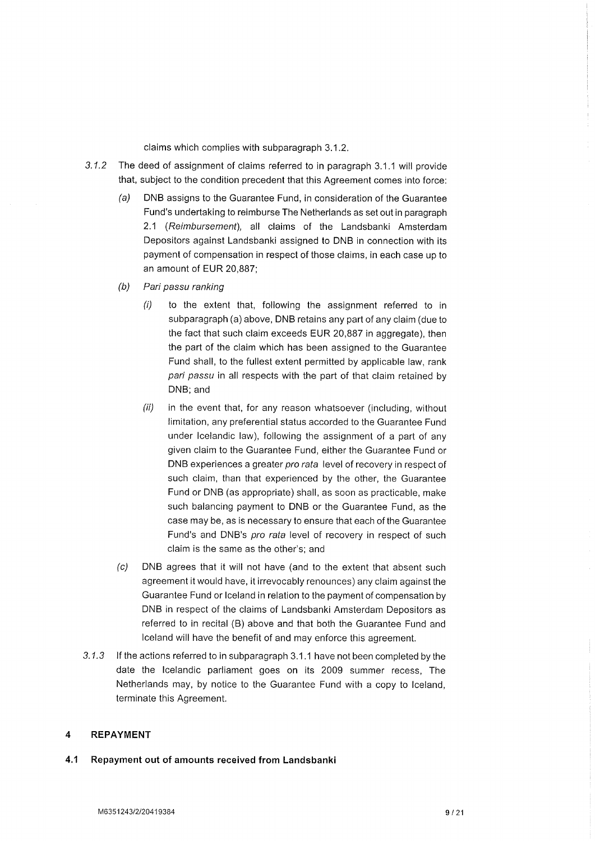claims which complies with subparagraph 3.1.2.

- 3.1.2 The deed of assignment of claims referred to in paragraph 3.1.1 will provide that, subject to the condition precedent that this Agreement comes into force:
	- (a) DNB assigns to the Guarantee Fund, in consideration of the Guarantee Fund's undertaking to reimburse The Netherlands as set out in paragraph 2.1 (Reimbursement), all claims of the Landsbanki Amsterdam Depositors against Landsbanki assigned to DNB in connection with its payment of compensation in respect of those claims, in each case up to an amount of EUR 20,887:
	- (b) Pari passu ranking
		- $(i)$  to the extent that, following the assignment referred to in subparagraph (a) above, DNB retains any part of any claim (due to the fact that such claim exceeds EUR 20,887 in aggregate), then the part of the claim which has been assigned to the Guarantee Fund shall, to the fullest extent permitted by applicable law, rank pari passu in all respects with the part of that claim retained by DNB; and
		- $(ii)$  in the event that, for any reason whatsoever (including, without limitation, any preferential status accorded to the Guarantee Fund under lcelandic law), following the assignment of a part of any given claim to the Guarantee Fund, either the Guarantee Fund or DNB experiences a greater pro rata level of recovery in respect of such claim, than that experienced by the other, the Guarantee Fund or DNB (as appropriate) shall, as soon as practicable, make such balancing payment to DNB or the Guarantee Fund, as the case may be, as is necessary to ensure that each of the Guarantee Fund's and DNB's pro rata level of recovery in respect of such claim is the same as the other's; and
	- (c) DNB agrees that it will not have (and to the extent that absent such agreement it would have, it irrevocably renounces) any claim against the Guarantee Fund or lceland in relation to the payment of compensation by DNB in respect of the claims of Landsbanki Amsterdam Depositors as referred to in recital (B) above and that both the Guarantee Fund and lceland will have the benefit of and may enforce this agreement.
- 3.1.3 If the actions referred to in subparagraph 3.1.1 have not been completed by the date the lcelandic parliament goes on its 2009 summer recess, The Netherlands may, by notice to the Guarantee Fund with a copy to lceland, terminate this Agreement.

#### $\boldsymbol{A}$ REPAYMENT

#### 4.1 Repayment out of amounts received from Landsbanki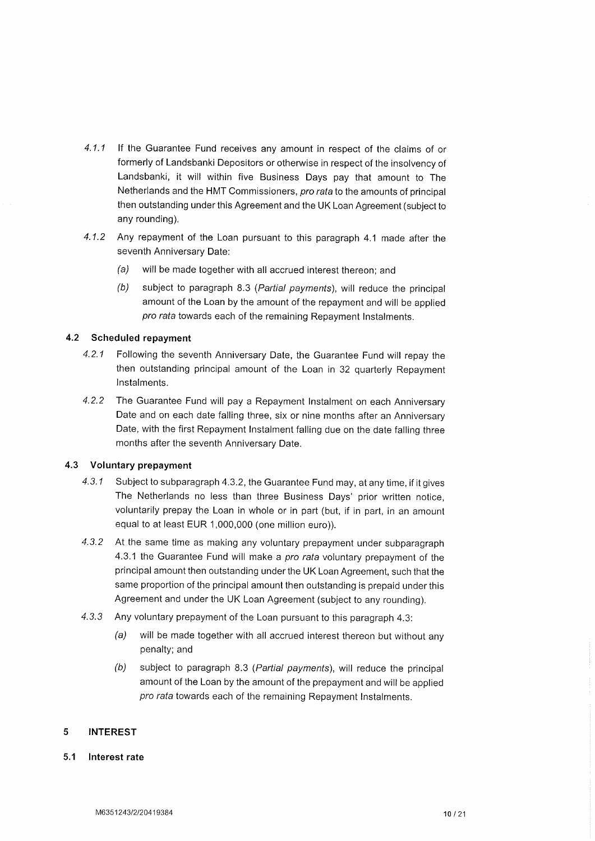- 4.1.1 lf the Guarantee Fund receives any amount in respect of the claims of or formerly of Landsbanki Depositors or otherwise in respect of the insolvency of Landsbanki, it will within five Business Days pay that amount to The Netherlands and the HMT Commissioners, pro rata to the amounts of principal then outstanding under this Agreement and the UK Loan Agreement (subject to any rounding).
- 4.1.2 Any repayment of the Loan pursuant to this paragraph 4.1 made after the seventh Anniversary Date:
	- (a) will be made together with all accrued interest thereon; and
	- (b) subject to paragraph 8.3 (Partial payments), will reduce the principal amount of the Loan by the amount of the repayment and will be applied pro rata towards each of the remaining Repayment lnstalments.

# 4.2 Scheduled repayment

- 4.2.1 Following the seventh Anniversary Date, the Guarantee Fund will repay the then outstanding principal amount of the Loan in 32 quarterly Repayment lnstalments.
- 4.2.2 The Guarantee Fund will pay a Repayment lnstalment on each Anniversary Date and on each date falling three, six or nine months after an Anniversary Date, with the first Repayment lnstalment falling due on the date falling three months after the seventh Anniversary Date.

### 4.3 Voluntary prepayment

- 4.3.1 Subject to subparagraph 4.3.2, the Guarantee Fund may, at any time, if it gives The Netherlands no less than three Business Days' prior written notice, voluntarily prepay the Loan in whole or in part (but, if in part, in an amount equal to at least EUR 1,000,000 (one mitlion euro)).
- 4.3.2 At the same time as making any voluntary prepayment under subparagraph 4.3.1 the Guarantee Fund will make a pro rata voluntary prepayment of the principal amount then outstanding under the UK Loan Agreement, such that the same proportion of the principal amount then outstanding is prepaid under this Agreement and under the UK Loan Agreement (subject to any rounding).
- 4.3.3 Any voluntary prepayment of the Loan pursuant to this paragraph 4.3:
	- (a) will be made together with all accrued interest thereon but without any penalty; and
	- (b) subject to paragraph 8.3 (Partial payments), will reduce the principal amount of the Loan by the amount of the prepayment and will be applied pro rata towards each of the remaining Repayment Instalments.

#### 5 INTEREST

### 5.1 lnterest rate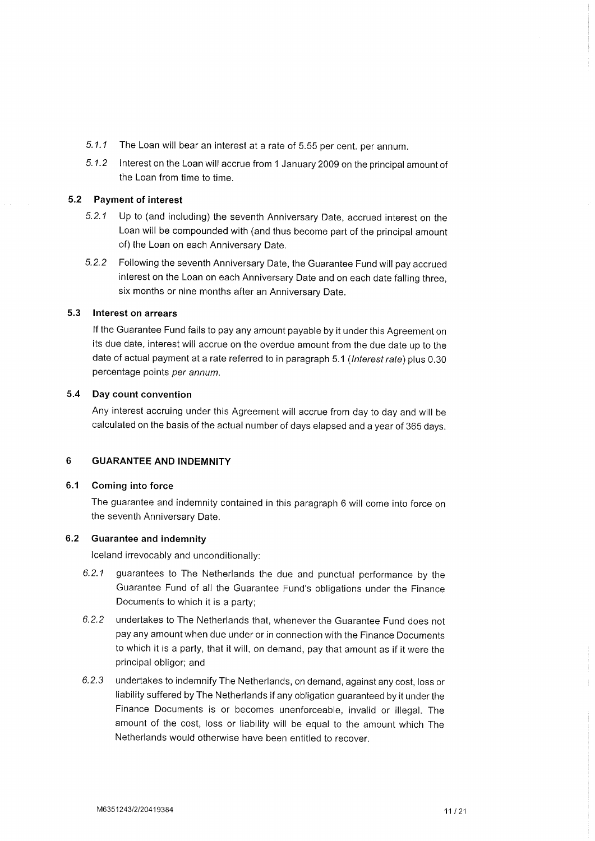- 5.1.1 The Loan will bear an interest at a rate of 5.55 per cent. per annum.
- 5.1.2 lnterest on the Loan will accrue from 1 January 2009 on the principal amount of the Loan from time to time.

#### 5.2 Payment of interest

- 5.2.1 Up to (and including) the seventh Anniversary Date, accrued interest on the Loan will be compounded with (and thus become part of the principal amount of) the Loan on each Anniversary Date.
- 5.2.2 Following the seventh Anniversary Date, the Guarantee Fund will pay accrued interest on the Loan on each Anniversary Date and on each date falling three, six months or nine months after an Anniversary Date.

#### 5.3 lnterest on arrears

lf the Guarantee Fund fails to pay any amount payable by it under this Agreement on its due date, interest will accrue on the overdue amount from the due date up to the date of actual payment at a rate referred to in paragraph 5.1 (Interest rate) plus 0.30 percentage points per annum.

#### 5.4 Day count convention

Any interest accruing under this Agreement will accrue from day to day and will be calculated on the basis of the actual number of days elapsed and a year of 365 days.

# 6 GUARANTEE AND INDEMNITY

### 6.1 Coming into force

The guarantee and indemnity contained in this paragraph 6 will come into force on the seventh Anniversary Date.

#### 6.2 Guarantee and indemnity

lceland irrevocably and unconditionally:

- 6.2.1 guarantees to The Netherlands the due and punctual performance by the Guarantee Fund of all the Guarantee Fund's obligations under the Finance Documents to which it is a party;
- 6.2.2 undertakes to The Netherlands that, whenever the Guarantee Fund does not pay any amount when due under or in connection with the Finance Documents to which it is a party, that it will, on demand, pay that amount as if it were the principal obligor; and
- 6.2.3 undertakes to indemnify The Netherlands, on demand, against any cost, loss or liability suffered by The Netherlands if any obligation guaranteed by it under the Finance Documents is or becomes unenforceable, invalid or illegal. The amount of the cost, loss or liability will be equal to the amount which The Netherlands would otherwise have been entitled to recover.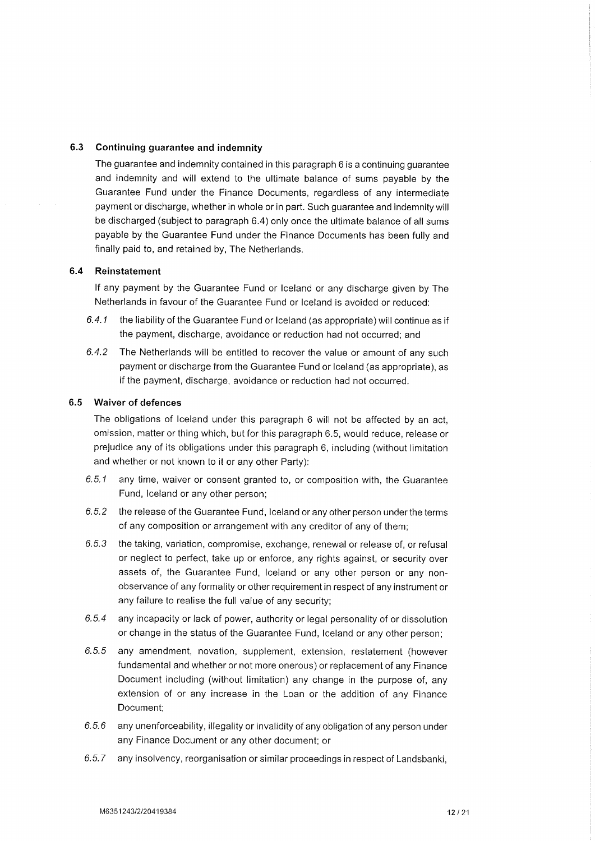### 6.3 Continuing guarantee and indemnity

The guarantee and indemnity contained in this paragraph 6 is a continuing guarantee and indemnity and will extend to the ultimate balance of sums payable by the Guarantee Fund under the Finance Documents, regardless of any intermediate payment or discharge, whether in whole or in part. Such guarantee and indemnitywill be discharged (subject to paragraph 6.4) only once the ultimate balance of all sums payable by the Guarantee Fund under the Finance Documents has been fully and finally paid to, and retained by, The Netherlands.

### 6.4 Reinstatement

lf any payment by the Guarantee Fund or lceland or any discharge given by The Netherlands in favour of the Guarantee Fund or lceland is avoided or reduced:

- 6.4.1 the liability of the Guarantee Fund or lceland (as appropriate) will continue as if the payment, discharge, avoidance or reduction had not occurred; and
- 6.4.2 The Netherlands will be entitled to recover the value or amount of any such payment or discharge from the Guarantee Fund or lceland (as appropriate), as if the payment, discharge, avoidance or reduction had not occurred.

# 6.5 Waiver of defences

The obligations of lceland under this paragraph 6 will not be affected by an act, omission, matter or thing which, but for this paragraph 6.5, would reduce, release or prejudice any of its obligations under this paragraph 6, including (without limitation and whether or not known to it or any other Party):

- 6.5.1 any time, waiver or consent granted to, or composition with, the Guarantee Fund, lceland or any other person;
- 6.5.2 the release of the Guarantee Fund, lceland or any other person under the terms of any composition or arrangement with any creditor of any of them;
- 6.5.3 the taking, variation, compromise, exchange, renewal or release of, or refusal or neglect to perfect, take up or enforce, any rights against, or security over assets of, the Guarantee Fund, lceland or any other person or any nonobservance of any formality or other requirement in respect of any instrument or any failure to realise the full value of any security;
- 6.5.4 any incapacity or lack of power, authority or legal personality of or dissolution or change in the status of the Guarantee Fund, lceland or any other person;
- 6.5.5 any amendment, novation, supplement, extension, restatement (however fundamental and whether or not more onerous) or replacement of any Finance Document including (without limitation) any change in the purpose of, any extension of or any increase in the Loan or the addition of any Finance Document;
- 6.5.6 any unenforceability, illegality or invalidity of any obligation of any person under any Finance Document or any other document; or
- 6.5.7 any insolvency, reorganisation or similar proceedings in respect of Landsbanki,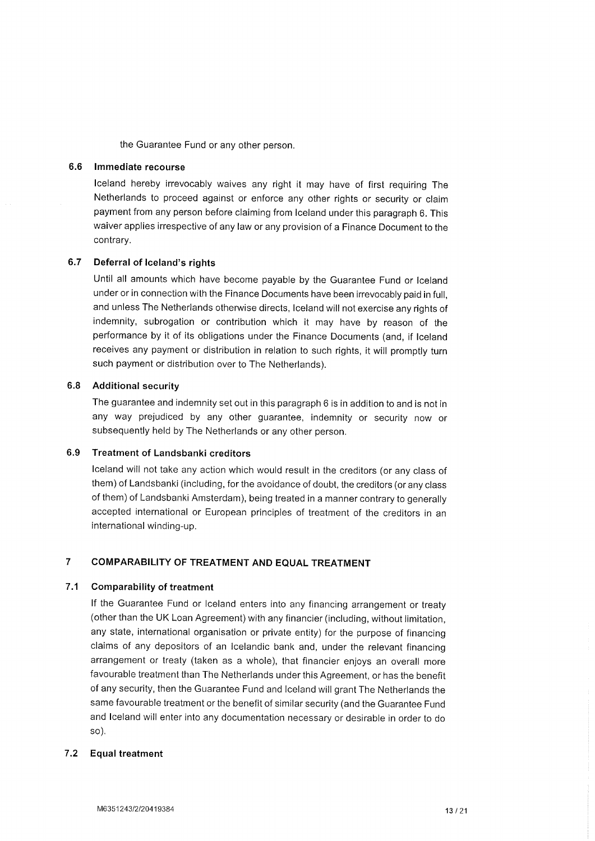the Guarantee Fund or any other person.

#### 6.6 lmmediate recourse

lceland hereby irrevocably waives any right it may have of first requiring The Netherlands to proceed against or enforce any other rights or security or claim payment from any person before claiming from lceland under this paragraph 6. This waiver applies irrespective of any law or any provision of a Finance Document to the contrary.

#### 6.7 Deferral of lceland's rights

Until all amounts which have become payable by the Guarantee Fund or Iceland under or in connection with the Finance Documents have been irrevocably paid in full, and unless The Netherlands otherwise directs, lceland will not exercise any rights of indemnity, subrogation or contribution which it may have by reason of the performance by it of its obligations under the Finance Documents (and, if lceland receives any payment or distribution in relation to such rights, it will promptly turn such payment or distribution over to The Netherlands).

### Additional security 6.8

The guarantee and indemnity set out in this paragraph 6 is in addition to and is not in any way prejudiced by any other guarantee, indemnity or security now or subsequently held by The Netherlands or any other person.

#### Treatment of Landsbanki creditors 6.9

lceland will not take any action which would result in the creditors (or any class of them) of Landsbanki (including, for the avoidance of doubt, the creditors (or any class of them) of Landsbanki Amsterdam), being treated in a manner contrary to generally accepted international or European principles of treatment of the creditors in an international winding-up.

#### COMPARABILITY OF TREATMENT AND EQUAL TREATMENT  $\overline{7}$

### 7.1 Comparability of treatment

lf the Guarantee Fund or lceland enters into any financing arrangement or treaty (other than the UK Loan Agreement) with any financier (including, without limitation, any state, international organisation or private entity) for the purpose of financing claims of any depositors of an lcelandic bank and, under the relevant financing arrangement or treaty (taken as a whole), that financier enjoys an overall more favourable treatment than The Netherlands under this Agreement, or has the benefit of any security, then the Guarantee Fund and lceland will grant The Netherlands the same favourable treatment or the benefit of similar security (and the Guarantee Fund and lceland will enter into any documentation necessary or desirable in order to do so).

### Equal treatment 7.2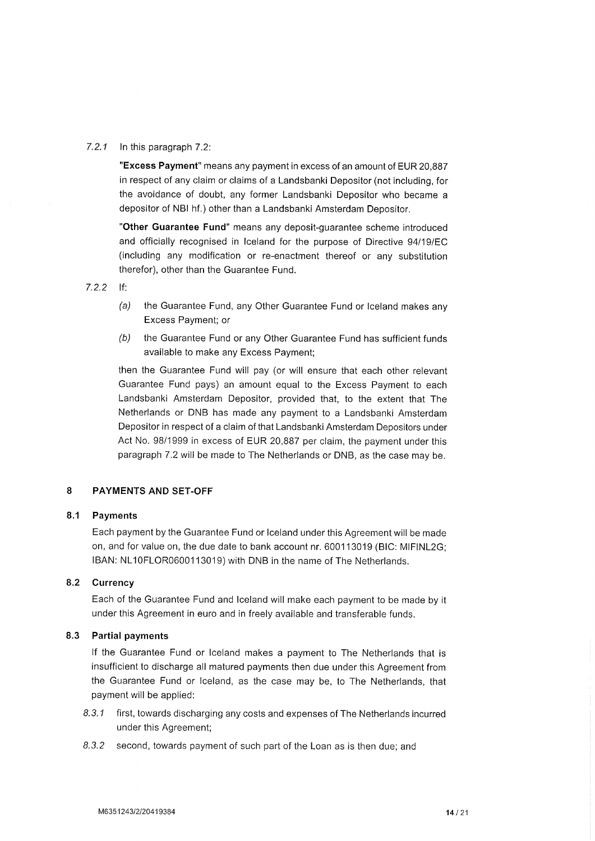### 7.2.1 In this paragraph  $7.2$ :

"Excess Payment" means any payment in excess of an amount of EUR 20,887 in respect of any claim or claims of a Landsbanki Depositor (not including, for the avoidance of doubt, any former Landsbanki Depositor who became <sup>a</sup> depositor of NBI hf.) other than a Landsbanki Amsterdam Depositor.

"Other Guarantee Fund" means any deposit-quarantee scheme introduced and officially recognised in Iceland for the purpose of Directive 94/19/EC (including any modification or re-enactment thereof or any substitution therefor), other than the Guarantee Fund.

7.2.2 tf:

- (a) the Guarantee Fund, any Other Guarantee Fund or lceland makes any Excess Payment; or
- $(b)$  the Guarantee Fund or any Other Guarantee Fund has sufficient funds available to make any Excess Payment;

then the Guarantee Fund will pay (or will ensure that each other relevant Guarantee Fund pays) an amount equal to the Excess Payment to each Landsbanki Amsterdam Depositor, provided that, to the extent that The Netherlands or DNB has made any payment to a Landsbanki Amsterdam Depositor in respect of a claim of that Landsbanki Amsterdam Depositors under Act No. 98/1999 in excess of EUR 20,887 per claim, the payment under this paragraph 7.2 will be made to The Netherlands or DNB, as the case may be.

#### PAYMENTS AND SET.OFF 8

#### 8.1 Payments

Each payment by the Guarantee Fund or lceland under this Agreement will be made on, and for value on, the due date to bank account nr. 600113019 (BIC: MIFINL2G; IBAN: NL10FLOR0600113019) with DNB in the name of The Netherlands.

### 8.2 Gurrency

Each of the Guarantee Fund and lceland will make each payment to be made by it under this Agreement in euro and in freely available and transferable funds.

### 8.3 Partial payments

lf the Guarantee Fund or lceland makes a payment to The Netherlands that is insufficient to discharge all matured payments then due under this Agreement from the Guarantee Fund or lceland, as the case may be, to The Netherlands, that payment will be applied:

- 8.3.1 first, towards discharging any costs and expenses of The Netherlands incurred under this Agreement;
- 8.3.2 second, towards payment of such part of the Loan as is then due; and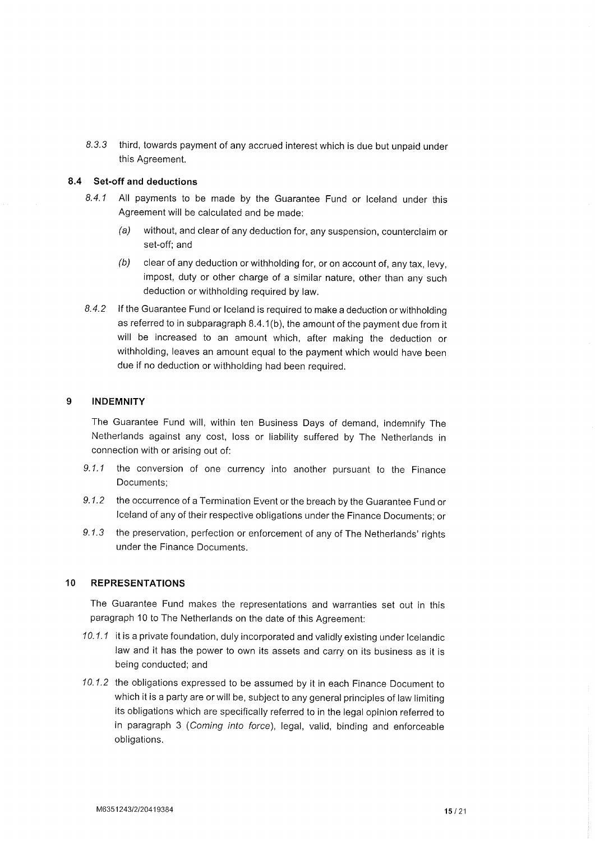8.3.3 third, towards payment of any accrued interest which is due but unpaid under this Agreement.

# 8.4 Set-off and deductions

- 8.4.1 All payments to be made by the Guarantee Fund or lceland under this Agreement will be calculated and be made:
	- (a) without, and clear of any deduction for, any suspension, counterclaim or set-off; and
	- $(b)$  clear of any deduction or withholding for, or on account of, any tax, levy, impost, duty or other charge of a similar nature, other than any such deduction or withholding required by law.
- 8.4.2 If the Guarantee Fund or Iceland is required to make a deduction or withholding as referred to in subparagraph 8.4.1(b), the amount of the payment due from it will be increased to an amount which, after making the deduction or withholding, leaves an amount equal to the payment which would have been due if no deduction or withholding had been required.

#### 9 INDEMNITY

The Guarantee Fund will, within ten Business Days of demand, indemnify The Netherlands against any cost, loss or liability suffered by The Netherlands in connection with or arising out of:

- 9.1.1 the conversion of one currency into another pursuant to the Finance Documents;
- 9.1.2 the occurrence of a Termination Event or the breach by the Guarantee Fund or lceland of any of their respective obligations under the Finance Documents; or
- 9.1.3 the preservation, perfection or enforcement of any of The Netherlands' rights under the Finance Documents.

#### 1O REPRESENTATIONS

The Guarantee Fund makes the representations and warranties set out in this paragraph 10 to The Netherlands on the date of this Agreement:

- 10.1.1 it is a private foundation, duly incorporated and validly existing under lcelandic law and it has the power to own its assets and carry on its business as it is being conducted; and
- 10.1.2 the obligations expressed to be assumed by it in each Finance Document to which it is a party are or will be, subject to any general principles of law limiting its obligations which are specifically referred to in the legal opinion referred to in paragraph 3 (Coming into force), legal, valid, binding and enforceable obligations.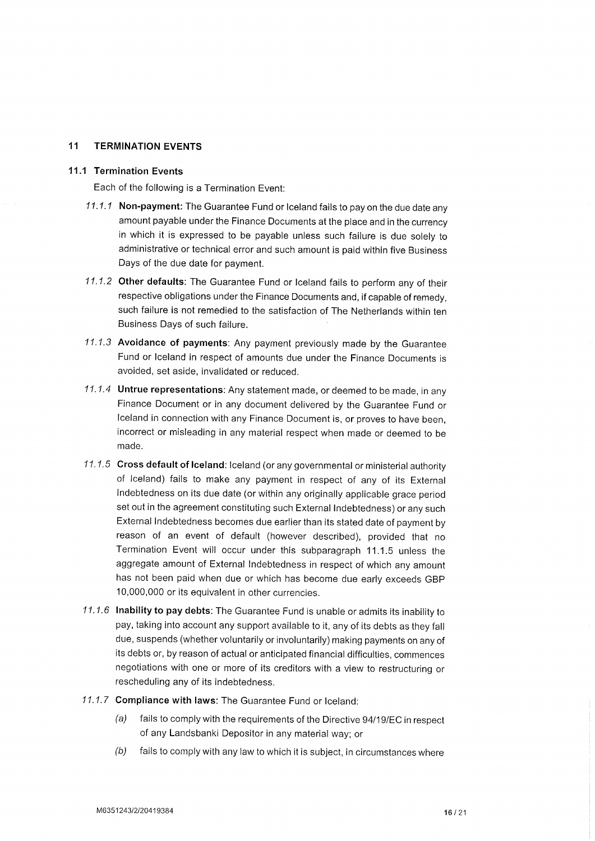#### 11 TERMINATION EVENTS

#### 11.1 Termination Events

Each of the following is a Termination Event:

- 11.1.1 Non-payment: The Guarantee Fund or Iceland fails to pay on the due date any amount payable under the Finance Documents at the place and in the currency in which it is expressed to be payable unless such failure is due solely to administrative or technical error and such amount is paid within five Business Days of the due date for payment.
- 11.1.2 Other defaults: The Guarantee Fund or lceland fails to perform any of their respective obligations under the Finance Documents and, if capable of remedy, such failure is not remedied to the satisfaction of The Netherlands within ten Business Days of such failure.
- 11.1.3 Avoidance of payments: Any payment previously made by the Guarantee Fund or lceland in respect of amounts due under the Finance Documents is avoided, set aside, invalidated or reduced.
- 11.1.4 Untrue representations: Any statement made, or deemed to be made, in any Finance Document or in any document delivered by the Guarantee Fund or lceland in connection with any Finance Document is, or proves to have been, incorrect or misleading in any material respect when made or deemed to be made.
- 11.1.5 Cross default of lceland: lceland (or any governmental or ministerial authority of lceland) fails to make any payment in respect of any of its External lndebtedness on its due date (or within any originally applicable grace period set out in the agreement constituting such External lndebtedness) or any such External lndebtedness becomes due earlier than its stated date of payment by reason of an event of default (however described), provided that no Termination Event will occur under this subparagraph 11.1.5 unless the aggregate amount of External lndebtedness in respect of which any amount has not been paid when due or which has become due early exceeds GBP 10,000,000 or its equivalent in other currencies.
- 11.1.6 lnability to pay debts: The Guarantee Fund is unable or admits its inability to pay, taking into account any support available to it, any of its debts as they fall due, suspends (whether voluntarily or involuntarily) making payments on any of its debts or, by reason of actual or anticipated financial difficulties, commences negotiations with one or more of its creditors with a view to restructuring or rescheduling any of its indebtedness.
- 11.1.7 Compliance with laws: The Guarantee Fund or lceland:
	- (a) fails to comply with the requirements of the Directive 94/19/EC in respect of any Landsbanki Depositor in any material way; or
	- $(b)$  fails to comply with any law to which it is subject, in circumstances where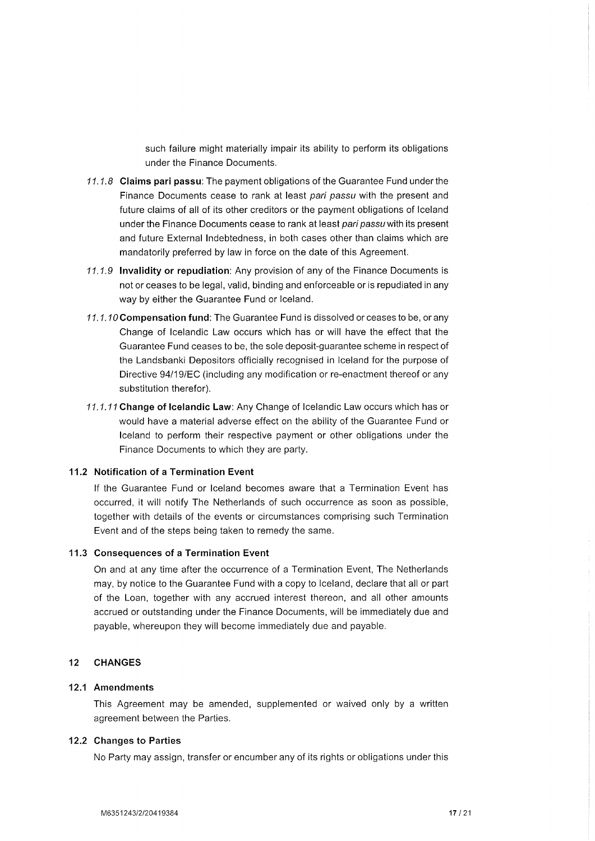such failure might materially impair its ability to perform its obligations under the Finance Documents.

- $11.1.8$  Claims pari passu: The payment obligations of the Guarantee Fund under the Finance Documents cease to rank at least pari passu with the present and future claims of all of its other creditors or the payment obligations of lceland under the Finance Documents cease to rank at least pari passu with its present and future External lndebtedness, in both cases other than claims which are mandatorily preferred by law in force on the date of this Agreement.
- 11.1.9 lnvalidity or repudiation: Any provision of any of the Finance Documents is not or ceases to be legal, valid, binding and enforceable or is repudiated in any way by either the Guarantee Fund or lceland.
- 11.1.10 Compensation fund: The Guarantee Fund is dissolved or ceases to be, or any Change of lcelandic Law occurs which has or will have the effect that the Guarantee Fund ceases to be, the sole deposit-guarantee scheme in respect of the Landsbanki Depositors officially recognised in lceland for the purpose of Directive 94/19/EC (including any modification or re-enactment thereof or any substitution therefor).
- 11.1.11 Change of Icelandic Law: Any Change of Icelandic Law occurs which has or would have a material adverse effect on the ability of the Guarantee Fund or lceland to perform their respective payment or other obligations under the Finance Documents to which they are party.

#### 11.2 Notification of a Termination Event

lf the Guarantee Fund or lceland becomes aware that a Termination Event has occurred, it will notify The Netherlands of such occurrence as soon as possible, together with details of the events or circumstances comprising such Termination Event and of the steps being taken to remedy the same.

#### 11.3 Consequences of a Termination Event

On and at any time after the occurrence of a Termination Event, The Netherlands may, by notice to the Guarantee Fund with a copy to lceland, declare that all or part of the Loan, together with any accrued interest thereon, and all other amounts accrued or outstanding under the Finance Documents, will be immediately due and payable, whereupon they will become immediately due and payable.

#### 12 CHANGES

#### 12.1 Amendments

This Agreement may be amended, supplemented or waived only by a written agreement between the Parties.

#### 12.2 Changes to Parties

No Party may assign, transfer or encumber any of its rights or obligations under this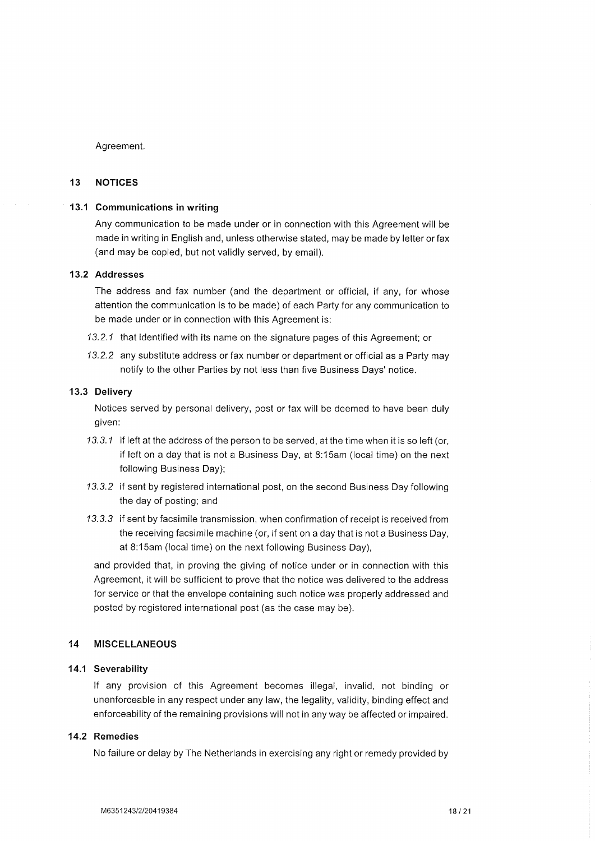Agreement.

#### 13 NOTICES

#### 13.1 Gommunications in writing

Any communication to be made under or in connection with this Agreement will be made in writing in English and, unless otherwise stated, may be made by letter or fax (and may be copied, but not validly served, by email).

# 13.2 Addresses

The address and fax number (and the department or official, if any, for whose attention the communication is to be made) of each Party for any communication to be made under or in connection with this Agreement is:

- 13.2.1 that identified with its name on the signature pages of this Agreement; or
- 13.2.2 any substitute address or fax number or department or official as a Party may notify to the other Parties by not less than five Business Days' notice.

#### 13.3 Delivery

Notices served by personal delivery, post or fax will be deemed to have been duly given:

- 13.3.1 if left at the address of the person to be served, at the time when it is so left (or, if left on a day that is not a Business Day, at 8:15am (local time) on the next following Business Day);
- 13.3.2 if sent by registered international post, on the second Business Day following the day of posting; and
- 13.3.3 if sent by facsimile transmission, when confirmation of receipt is received from the receiving facsimile machine (or, if sent on a day that is not a Business Day, at 8:15am (local time) on the next following Business Day),

and provided that, in proving the giving of notice under or in connection with this Agreement, it will be sufficient to prove that the notice was delivered to the address for service or that the envelope containing such notice was properly addressed and posted by registered international post (as the case may be).

### 14 MISCELLANEOUS

#### 14.1 Severability

lf any provision of this Agreement becomes illegal, invalid, not binding or unenforceable in any respect under any law, the legality, validity, binding effect and enforceability of the remaining provisions will not in any way be affected or impaired.

### 14.2 Remedies

No failure or delay by The Netherlands in exercising any right or remedy provided by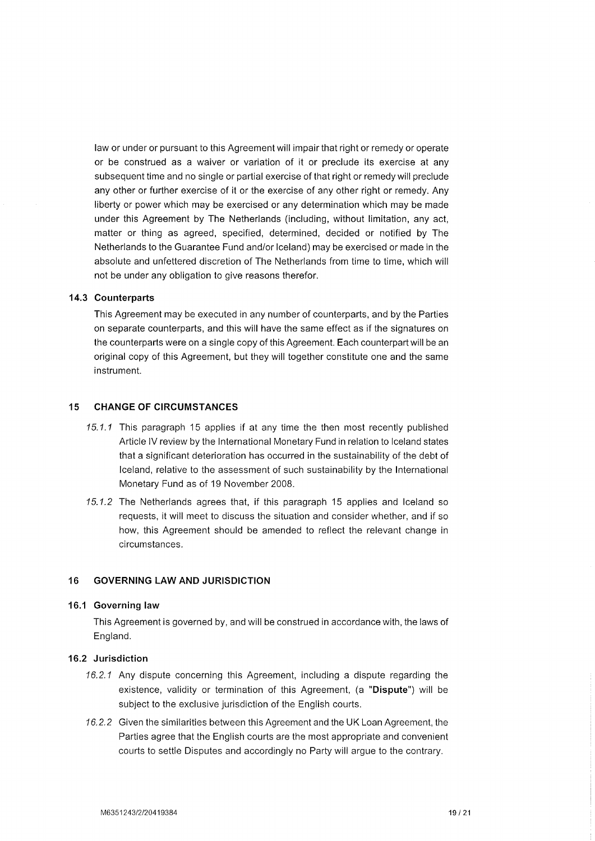law or under or pursuant to this Agreement will impair that right or remedy or operate or be construed as a waiver or variation of it or preclude its exercise at any subsequent time and no single or partial exercise of that right or remedy will preclude any other or further exercise of it or the exercise of any other right or remedy. Any liberty or power which may be exercised or any determination which may be made under this Agreement by The Netherlands (including, without limitation, any act, matter or thing as agreed, specified, determined, decided or notified by The Netherlands to the Guarantee Fund and/or lceland) may be exercised or made in the absolute and unfettered discretion of The Netherlands from time to time, which will not be under any obligation to give reasons therefor.

#### 14.3 Counterparts

This Agreement may be executed in any number of counterparts, and by the Parties on separate counterparts, and this will have the same effect as if the signatures on the counterparts were on a single copy of this Agreement. Each counterpart will be an original copy of this Agreement, but they will together constitute one and the same instrument.

#### 15 CHANGE OF CIRGUMSTANCES

- 15.1.1 This paragraph 15 applies if at any time the then most recently published Article lV review by the lnternational Monetary Fund in relation to lceland states that a significant deterioration has occurred in the sustainability of the debt of lceland, relative to the assessment of such sustainability by the lnternational Monetary Fund as of 19 November 2008.
- 15.1.2 The Netherlands agrees that, if this paragraph 15 applies and lceland so requests, it will meet to discuss the situation and consider whether, and if so how, this Agreement should be amended to reflect the relevant change in circumstances.

#### 16 GOVERNING LAW AND JURISDICTION

#### 16.1 Governing law

This Agreement is governed by, and will be construed in accordance with, the laws of England.

### 16.2 Jurisdiction

- 16.2.1 Any dispute concerning this Agreement, including a dispute regarding the existence, validity or termination of this Agreement, (a "Dispute") will be subject to the exclusive jurisdiction of the English courts.
- 16.2.2 Given the similarities between this Agreement and the UK Loan Agreement, the Parties agree that the English courts are the most appropriate and convenient courts to settle Disputes and accordingly no Party will argue to the contrary.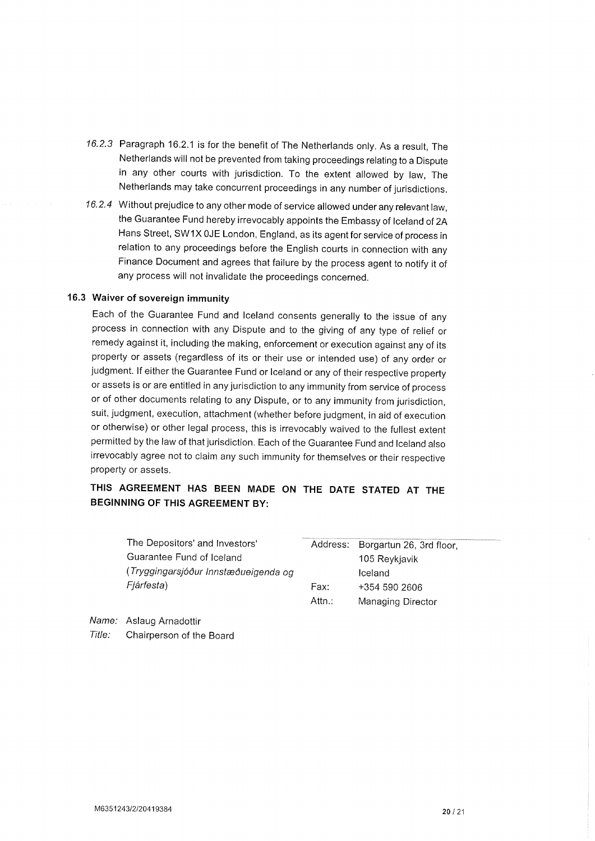- 16.2.3 Paragraph 16.2.1 is for the benefit of The Netherlands only. As a result, The Netherlands will not be prevented from taking proceedings relating to a Dispute in any other courts with jurisdiction. To the extent allowed by law, The Netherlands may take concurrent proceedings in any number of jurisdictions.
- 16.2.4 Without prejudice to any other mode of service allowed under any relevant law, the Guarantee Fund hereby irrevocably appoints the Embassy of lceland of 2A Hans Street, SW1X 0JE London, England, as its agent for service of process in relation to any proceedings before the English courts in connection with any Finance Document and agrees that failure by the process agent to notify it of any process will not invalidate the proceedings concerned.

# 16.3 Waiver of sovereign immunity

Each of the Guarantee Fund and lceland consents generally to the issue of any process in connection with any Dispute and to the giving of any type of relief or remedy against it, including the making, enforcement or execution against any of its property or assets (regardless of its or their use or intended use) of any order or judgment. lf either the Guarantee Fund or lceland or any of their respective property or assets is or are entitled in any jurisdiction to any immunity from service of process or of other documents relating to any Dispute, or to any immunity from jurisdiction, suit, judgment, execution, attachment (whether before judgment, in aid of execution or otherwise) or other legal process, this is irrevocably waived to the fullest extent permitted by the law of that jurisdiction. Each of the Guarantee Fund and lceland also irrevocably agree not to claim any such immunity for themselves or their respective property or assets.

# THIS AGREEMENT HAS BEEN MADE ON THE DATE STATED AT THE BEGINNING OF THIS AGREEMENT BY:

| The Depositors' and Investors'       |        | Address: Borgartun 26, 3rd floor, |
|--------------------------------------|--------|-----------------------------------|
| Guarantee Fund of Iceland            |        | 105 Reykjavik                     |
| (Tryggingarsjóður Innstæðueigenda og |        | Iceland                           |
| Fjárfesta)                           | Fax:   | +354 590 2606                     |
|                                      | Attn.: | Managing Director                 |
|                                      |        |                                   |

Name: Aslaug Arnadottir Title: Chairperson of the Board